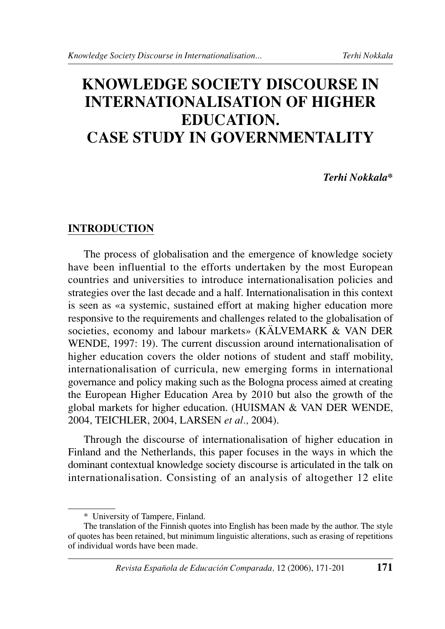# **KNOWLEDGE SOCIETY DISCOURSE IN INTERNATIONALISATION OF HIGHER EDUCATION. CASE STUDY IN GOVERNMENTALITY**

*Terhi Nokkala\**

## **INTRODUCTION**

The process of globalisation and the emergence of knowledge society have been influential to the efforts undertaken by the most European countries and universities to introduce internationalisation policies and strategies over the last decade and a half. Internationalisation in this context is seen as «a systemic, sustained effort at making higher education more responsive to the requirements and challenges related to the globalisation of societies, economy and labour markets» (KÄLVEMARK & VAN DER WENDE, 1997: 19). The current discussion around internationalisation of higher education covers the older notions of student and staff mobility, internationalisation of curricula, new emerging forms in international governance and policy making such as the Bologna process aimed at creating the European Higher Education Area by 2010 but also the growth of the global markets for higher education. (HUISMAN & VAN DER WENDE, 2004, TEICHLER, 2004, LARSEN *et al.,* 2004).

Through the discourse of internationalisation of higher education in Finland and the Netherlands, this paper focuses in the ways in which the dominant contextual knowledge society discourse is articulated in the talk on internationalisation. Consisting of an analysis of altogether 12 elite

<sup>\*</sup> University of Tampere, Finland.

The translation of the Finnish quotes into English has been made by the author. The style of quotes has been retained, but minimum linguistic alterations, such as erasing of repetitions of individual words have been made.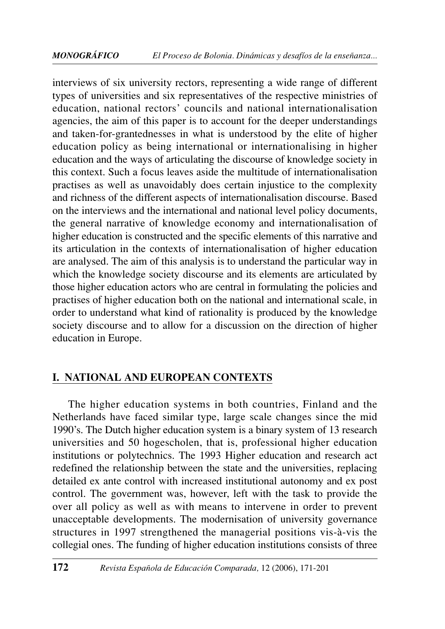interviews of six university rectors, representing a wide range of different types of universities and six representatives of the respective ministries of education, national rectors' councils and national internationalisation agencies, the aim of this paper is to account for the deeper understandings and taken-for-grantednesses in what is understood by the elite of higher education policy as being international or internationalising in higher education and the ways of articulating the discourse of knowledge society in this context. Such a focus leaves aside the multitude of internationalisation practises as well as unavoidably does certain injustice to the complexity and richness of the different aspects of internationalisation discourse. Based on the interviews and the international and national level policy documents, the general narrative of knowledge economy and internationalisation of higher education is constructed and the specific elements of this narrative and its articulation in the contexts of internationalisation of higher education are analysed. The aim of this analysis is to understand the particular way in which the knowledge society discourse and its elements are articulated by those higher education actors who are central in formulating the policies and practises of higher education both on the national and international scale, in order to understand what kind of rationality is produced by the knowledge society discourse and to allow for a discussion on the direction of higher education in Europe.

## **I. NATIONAL AND EUROPEAN CONTEXTS**

The higher education systems in both countries, Finland and the Netherlands have faced similar type, large scale changes since the mid 1990's. The Dutch higher education system is a binary system of 13 research universities and 50 hogescholen, that is, professional higher education institutions or polytechnics. The 1993 Higher education and research act redefined the relationship between the state and the universities, replacing detailed ex ante control with increased institutional autonomy and ex post control. The government was, however, left with the task to provide the over all policy as well as with means to intervene in order to prevent unacceptable developments. The modernisation of university governance structures in 1997 strengthened the managerial positions vis-à-vis the collegial ones. The funding of higher education institutions consists of three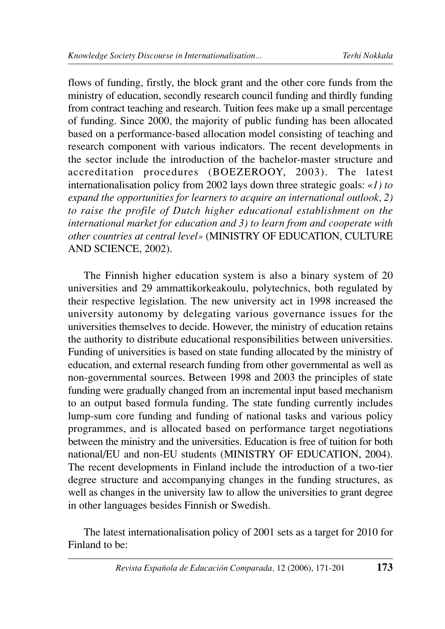flows of funding, firstly, the block grant and the other core funds from the ministry of education, secondly research council funding and thirdly funding from contract teaching and research. Tuition fees make up a small percentage of funding. Since 2000, the majority of public funding has been allocated based on a performance-based allocation model consisting of teaching and research component with various indicators. The recent developments in the sector include the introduction of the bachelor-master structure and accreditation procedures (BOEZEROOY, 2003). The latest internationalisation policy from 2002 lays down three strategic goals: «*1) to expand the opportunities for learners to acquire an international outlook, 2) to raise the profile of Dutch higher educational establishment on the international market for education and 3) to learn from and cooperate with other countries at central level»* (MINISTRY OF EDUCATION, CULTURE AND SCIENCE, 2002).

The Finnish higher education system is also a binary system of 20 universities and 29 ammattikorkeakoulu, polytechnics, both regulated by their respective legislation. The new university act in 1998 increased the university autonomy by delegating various governance issues for the universities themselves to decide. However, the ministry of education retains the authority to distribute educational responsibilities between universities. Funding of universities is based on state funding allocated by the ministry of education, and external research funding from other governmental as well as non-governmental sources. Between 1998 and 2003 the principles of state funding were gradually changed from an incremental input based mechanism to an output based formula funding. The state funding currently includes lump-sum core funding and funding of national tasks and various policy programmes, and is allocated based on performance target negotiations between the ministry and the universities. Education is free of tuition for both national/EU and non-EU students (MINISTRY OF EDUCATION, 2004). The recent developments in Finland include the introduction of a two-tier degree structure and accompanying changes in the funding structures, as well as changes in the university law to allow the universities to grant degree in other languages besides Finnish or Swedish.

The latest internationalisation policy of 2001 sets as a target for 2010 for Finland to be: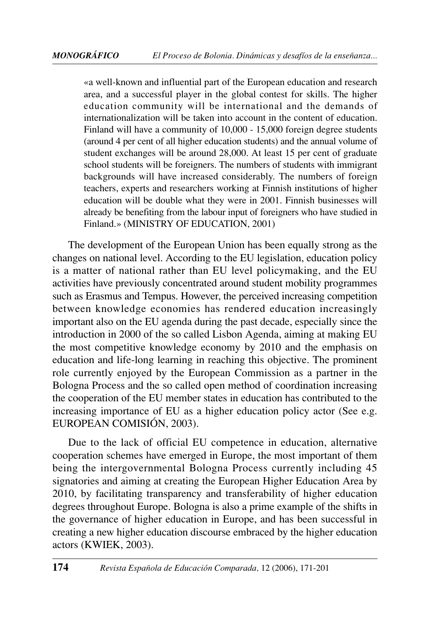«a well-known and influential part of the European education and research area, and a successful player in the global contest for skills. The higher education community will be international and the demands of internationalization will be taken into account in the content of education. Finland will have a community of 10,000 - 15,000 foreign degree students (around 4 per cent of all higher education students) and the annual volume of student exchanges will be around 28,000. At least 15 per cent of graduate school students will be foreigners. The numbers of students with immigrant backgrounds will have increased considerably. The numbers of foreign teachers, experts and researchers working at Finnish institutions of higher education will be double what they were in 2001. Finnish businesses will already be benefiting from the labour input of foreigners who have studied in Finland.» (MINISTRY OF EDUCATION, 2001)

The development of the European Union has been equally strong as the changes on national level. According to the EU legislation, education policy is a matter of national rather than EU level policymaking, and the EU activities have previously concentrated around student mobility programmes such as Erasmus and Tempus. However, the perceived increasing competition between knowledge economies has rendered education increasingly important also on the EU agenda during the past decade, especially since the introduction in 2000 of the so called Lisbon Agenda, aiming at making EU the most competitive knowledge economy by 2010 and the emphasis on education and life-long learning in reaching this objective. The prominent role currently enjoyed by the European Commission as a partner in the Bologna Process and the so called open method of coordination increasing the cooperation of the EU member states in education has contributed to the increasing importance of EU as a higher education policy actor (See e.g. EUROPEAN COMISIÓN, 2003).

Due to the lack of official EU competence in education, alternative cooperation schemes have emerged in Europe, the most important of them being the intergovernmental Bologna Process currently including 45 signatories and aiming at creating the European Higher Education Area by 2010, by facilitating transparency and transferability of higher education degrees throughout Europe. Bologna is also a prime example of the shifts in the governance of higher education in Europe, and has been successful in creating a new higher education discourse embraced by the higher education actors (KWIEK, 2003).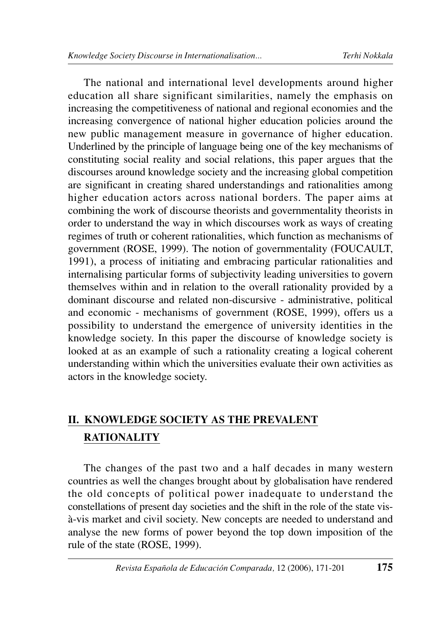The national and international level developments around higher education all share significant similarities, namely the emphasis on increasing the competitiveness of national and regional economies and the increasing convergence of national higher education policies around the new public management measure in governance of higher education. Underlined by the principle of language being one of the key mechanisms of constituting social reality and social relations, this paper argues that the discourses around knowledge society and the increasing global competition are significant in creating shared understandings and rationalities among higher education actors across national borders. The paper aims at combining the work of discourse theorists and governmentality theorists in order to understand the way in which discourses work as ways of creating regimes of truth or coherent rationalities, which function as mechanisms of government (ROSE, 1999). The notion of governmentality (FOUCAULT, 1991), a process of initiating and embracing particular rationalities and internalising particular forms of subjectivity leading universities to govern themselves within and in relation to the overall rationality provided by a dominant discourse and related non-discursive - administrative, political and economic - mechanisms of government (ROSE, 1999), offers us a possibility to understand the emergence of university identities in the knowledge society. In this paper the discourse of knowledge society is looked at as an example of such a rationality creating a logical coherent understanding within which the universities evaluate their own activities as actors in the knowledge society.

## **II. KNOWLEDGE SOCIETY AS THE PREVALENT RATIONALITY**

The changes of the past two and a half decades in many western countries as well the changes brought about by globalisation have rendered the old concepts of political power inadequate to understand the constellations of present day societies and the shift in the role of the state visà-vis market and civil society. New concepts are needed to understand and analyse the new forms of power beyond the top down imposition of the rule of the state (ROSE, 1999).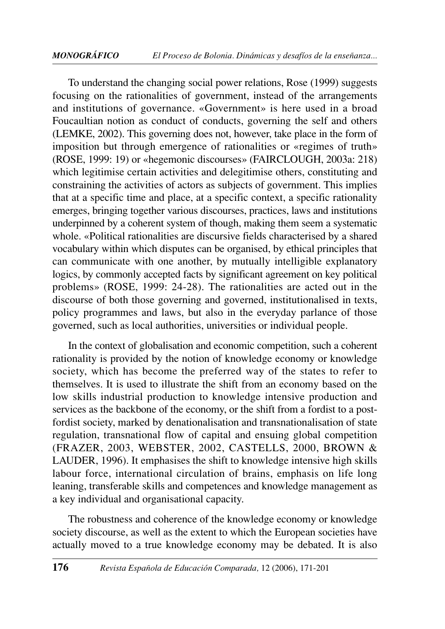To understand the changing social power relations, Rose (1999) suggests focusing on the rationalities of government, instead of the arrangements and institutions of governance. «Government» is here used in a broad Foucaultian notion as conduct of conducts, governing the self and others (LEMKE, 2002). This governing does not, however, take place in the form of imposition but through emergence of rationalities or «regimes of truth» (ROSE, 1999: 19) or «hegemonic discourses» (FAIRCLOUGH, 2003a: 218) which legitimise certain activities and delegitimise others, constituting and constraining the activities of actors as subjects of government. This implies that at a specific time and place, at a specific context, a specific rationality emerges, bringing together various discourses, practices, laws and institutions underpinned by a coherent system of though, making them seem a systematic whole. «Political rationalities are discursive fields characterised by a shared vocabulary within which disputes can be organised, by ethical principles that can communicate with one another, by mutually intelligible explanatory logics, by commonly accepted facts by significant agreement on key political problems» (ROSE, 1999: 24-28). The rationalities are acted out in the discourse of both those governing and governed, institutionalised in texts, policy programmes and laws, but also in the everyday parlance of those governed, such as local authorities, universities or individual people.

In the context of globalisation and economic competition, such a coherent rationality is provided by the notion of knowledge economy or knowledge society, which has become the preferred way of the states to refer to themselves. It is used to illustrate the shift from an economy based on the low skills industrial production to knowledge intensive production and services as the backbone of the economy, or the shift from a fordist to a postfordist society, marked by denationalisation and transnationalisation of state regulation, transnational flow of capital and ensuing global competition (FRAZER, 2003, WEBSTER, 2002, CASTELLS, 2000, BROWN & LAUDER, 1996). It emphasises the shift to knowledge intensive high skills labour force, international circulation of brains, emphasis on life long leaning, transferable skills and competences and knowledge management as a key individual and organisational capacity.

The robustness and coherence of the knowledge economy or knowledge society discourse, as well as the extent to which the European societies have actually moved to a true knowledge economy may be debated. It is also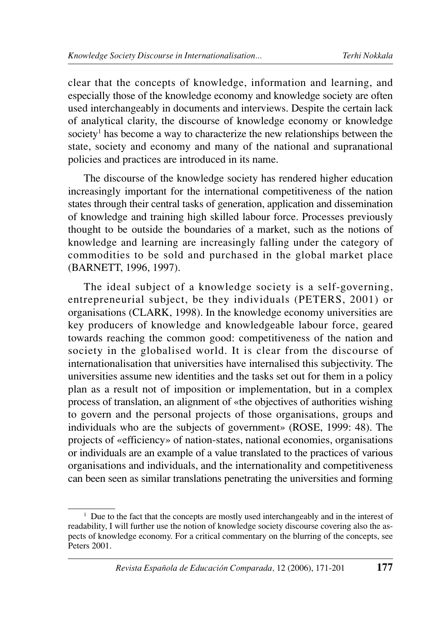clear that the concepts of knowledge, information and learning, and especially those of the knowledge economy and knowledge society are often used interchangeably in documents and interviews. Despite the certain lack of analytical clarity, the discourse of knowledge economy or knowledge society<sup>1</sup> has become a way to characterize the new relationships between the state, society and economy and many of the national and supranational policies and practices are introduced in its name.

The discourse of the knowledge society has rendered higher education increasingly important for the international competitiveness of the nation states through their central tasks of generation, application and dissemination of knowledge and training high skilled labour force. Processes previously thought to be outside the boundaries of a market, such as the notions of knowledge and learning are increasingly falling under the category of commodities to be sold and purchased in the global market place (BARNETT, 1996, 1997).

The ideal subject of a knowledge society is a self-governing, entrepreneurial subject, be they individuals (PETERS, 2001) or organisations (CLARK, 1998). In the knowledge economy universities are key producers of knowledge and knowledgeable labour force, geared towards reaching the common good: competitiveness of the nation and society in the globalised world. It is clear from the discourse of internationalisation that universities have internalised this subjectivity. The universities assume new identities and the tasks set out for them in a policy plan as a result not of imposition or implementation, but in a complex process of translation, an alignment of «the objectives of authorities wishing to govern and the personal projects of those organisations, groups and individuals who are the subjects of government» (ROSE, 1999: 48). The projects of «efficiency» of nation-states, national economies, organisations or individuals are an example of a value translated to the practices of various organisations and individuals, and the internationality and competitiveness can been seen as similar translations penetrating the universities and forming

<sup>&</sup>lt;sup>1</sup> Due to the fact that the concepts are mostly used interchangeably and in the interest of readability, I will further use the notion of knowledge society discourse covering also the aspects of knowledge economy. For a critical commentary on the blurring of the concepts, see Peters 2001.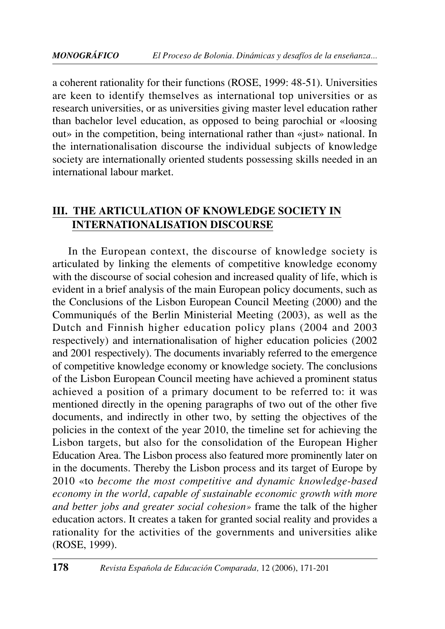a coherent rationality for their functions (ROSE, 1999: 48-51). Universities are keen to identify themselves as international top universities or as research universities, or as universities giving master level education rather than bachelor level education, as opposed to being parochial or «loosing out» in the competition, being international rather than «just» national. In the internationalisation discourse the individual subjects of knowledge society are internationally oriented students possessing skills needed in an international labour market.

## **III. THE ARTICULATION OF KNOWLEDGE SOCIETY IN INTERNATIONALISATION DISCOURSE**

In the European context, the discourse of knowledge society is articulated by linking the elements of competitive knowledge economy with the discourse of social cohesion and increased quality of life, which is evident in a brief analysis of the main European policy documents, such as the Conclusions of the Lisbon European Council Meeting (2000) and the Communiqués of the Berlin Ministerial Meeting (2003), as well as the Dutch and Finnish higher education policy plans (2004 and 2003 respectively) and internationalisation of higher education policies (2002 and 2001 respectively). The documents invariably referred to the emergence of competitive knowledge economy or knowledge society. The conclusions of the Lisbon European Council meeting have achieved a prominent status achieved a position of a primary document to be referred to: it was mentioned directly in the opening paragraphs of two out of the other five documents, and indirectly in other two, by setting the objectives of the policies in the context of the year 2010, the timeline set for achieving the Lisbon targets, but also for the consolidation of the European Higher Education Area. The Lisbon process also featured more prominently later on in the documents. Thereby the Lisbon process and its target of Europe by 2010 «to *become the most competitive and dynamic knowledge-based economy in the world, capable of sustainable economic growth with more and better jobs and greater social cohesion»* frame the talk of the higher education actors. It creates a taken for granted social reality and provides a rationality for the activities of the governments and universities alike (ROSE, 1999).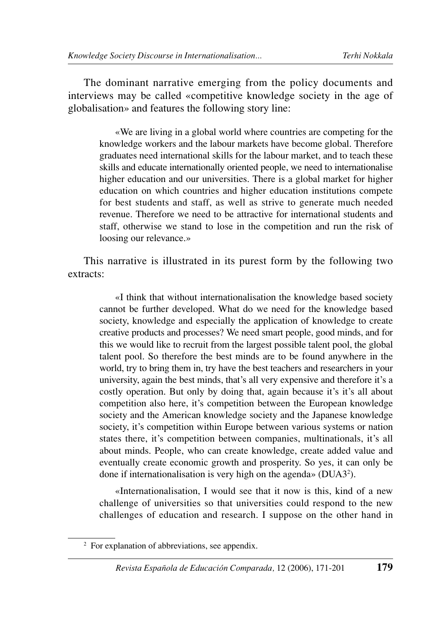The dominant narrative emerging from the policy documents and interviews may be called «competitive knowledge society in the age of globalisation» and features the following story line:

«We are living in a global world where countries are competing for the knowledge workers and the labour markets have become global. Therefore graduates need international skills for the labour market, and to teach these skills and educate internationally oriented people, we need to internationalise higher education and our universities. There is a global market for higher education on which countries and higher education institutions compete for best students and staff, as well as strive to generate much needed revenue. Therefore we need to be attractive for international students and staff, otherwise we stand to lose in the competition and run the risk of loosing our relevance.»

This narrative is illustrated in its purest form by the following two extracts:

«I think that without internationalisation the knowledge based society cannot be further developed. What do we need for the knowledge based society, knowledge and especially the application of knowledge to create creative products and processes? We need smart people, good minds, and for this we would like to recruit from the largest possible talent pool, the global talent pool. So therefore the best minds are to be found anywhere in the world, try to bring them in, try have the best teachers and researchers in your university, again the best minds, that's all very expensive and therefore it's a costly operation. But only by doing that, again because it's it's all about competition also here, it's competition between the European knowledge society and the American knowledge society and the Japanese knowledge society, it's competition within Europe between various systems or nation states there, it's competition between companies, multinationals, it's all about minds. People, who can create knowledge, create added value and eventually create economic growth and prosperity. So yes, it can only be done if internationalisation is very high on the agenda» (DUA3<sup>2</sup>).

«Internationalisation, I would see that it now is this, kind of a new challenge of universities so that universities could respond to the new challenges of education and research. I suppose on the other hand in

<sup>2</sup> For explanation of abbreviations, see appendix.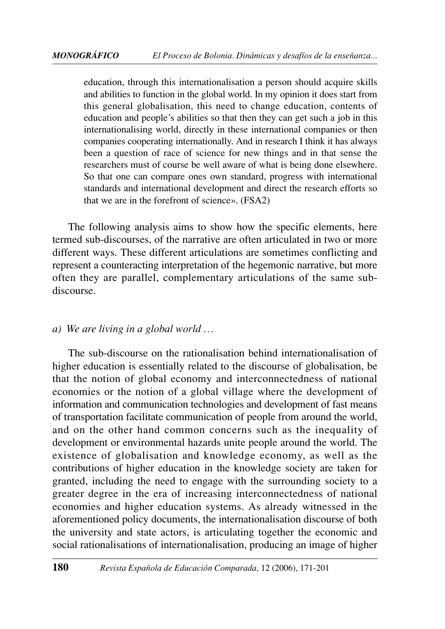education, through this internationalisation a person should acquire skills and abilities to function in the global world. In my opinion it does start from this general globalisation, this need to change education, contents of education and people's abilities so that then they can get such a job in this internationalising world, directly in these international companies or then companies cooperating internationally. And in research I think it has always been a question of race of science for new things and in that sense the researchers must of course be well aware of what is being done elsewhere. So that one can compare ones own standard, progress with international standards and international development and direct the research efforts so that we are in the forefront of science». (FSA2)

The following analysis aims to show how the specific elements, here termed sub-discourses, of the narrative are often articulated in two or more different ways. These different articulations are sometimes conflicting and represent a counteracting interpretation of the hegemonic narrative, but more often they are parallel, complementary articulations of the same subdiscourse.

#### *a) We are living in a global world …*

The sub-discourse on the rationalisation behind internationalisation of higher education is essentially related to the discourse of globalisation, be that the notion of global economy and interconnectedness of national economies or the notion of a global village where the development of information and communication technologies and development of fast means of transportation facilitate communication of people from around the world, and on the other hand common concerns such as the inequality of development or environmental hazards unite people around the world. The existence of globalisation and knowledge economy, as well as the contributions of higher education in the knowledge society are taken for granted, including the need to engage with the surrounding society to a greater degree in the era of increasing interconnectedness of national economies and higher education systems. As already witnessed in the aforementioned policy documents, the internationalisation discourse of both the university and state actors, is articulating together the economic and social rationalisations of internationalisation, producing an image of higher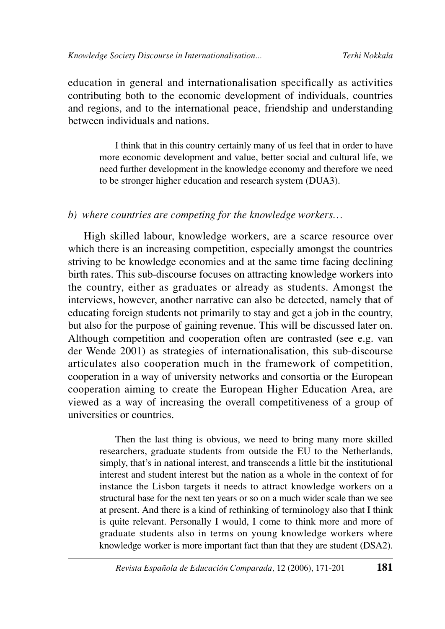education in general and internationalisation specifically as activities contributing both to the economic development of individuals, countries and regions, and to the international peace, friendship and understanding between individuals and nations.

I think that in this country certainly many of us feel that in order to have more economic development and value, better social and cultural life, we need further development in the knowledge economy and therefore we need to be stronger higher education and research system (DUA3).

#### *b) where countries are competing for the knowledge workers…*

High skilled labour, knowledge workers, are a scarce resource over which there is an increasing competition, especially amongst the countries striving to be knowledge economies and at the same time facing declining birth rates. This sub-discourse focuses on attracting knowledge workers into the country, either as graduates or already as students. Amongst the interviews, however, another narrative can also be detected, namely that of educating foreign students not primarily to stay and get a job in the country, but also for the purpose of gaining revenue. This will be discussed later on. Although competition and cooperation often are contrasted (see e.g. van der Wende 2001) as strategies of internationalisation, this sub-discourse articulates also cooperation much in the framework of competition, cooperation in a way of university networks and consortia or the European cooperation aiming to create the European Higher Education Area, are viewed as a way of increasing the overall competitiveness of a group of universities or countries.

Then the last thing is obvious, we need to bring many more skilled researchers, graduate students from outside the EU to the Netherlands, simply, that's in national interest, and transcends a little bit the institutional interest and student interest but the nation as a whole in the context of for instance the Lisbon targets it needs to attract knowledge workers on a structural base for the next ten years or so on a much wider scale than we see at present. And there is a kind of rethinking of terminology also that I think is quite relevant. Personally I would, I come to think more and more of graduate students also in terms on young knowledge workers where knowledge worker is more important fact than that they are student (DSA2).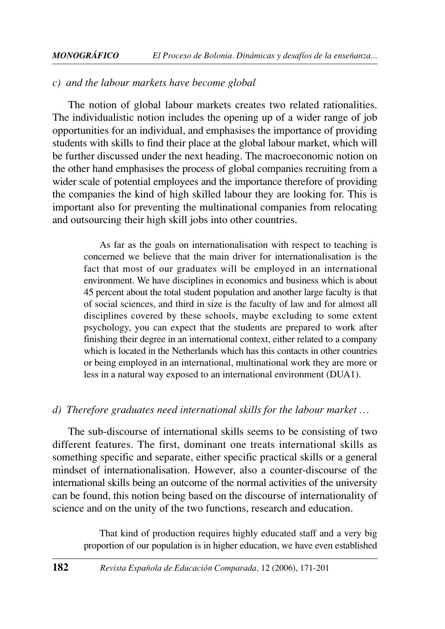#### *c) and the labour markets have become global*

The notion of global labour markets creates two related rationalities. The individualistic notion includes the opening up of a wider range of job opportunities for an individual, and emphasises the importance of providing students with skills to find their place at the global labour market, which will be further discussed under the next heading. The macroeconomic notion on the other hand emphasises the process of global companies recruiting from a wider scale of potential employees and the importance therefore of providing the companies the kind of high skilled labour they are looking for. This is important also for preventing the multinational companies from relocating and outsourcing their high skill jobs into other countries.

As far as the goals on internationalisation with respect to teaching is concerned we believe that the main driver for internationalisation is the fact that most of our graduates will be employed in an international environment. We have disciplines in economics and business which is about 45 percent about the total student population and another large faculty is that of social sciences, and third in size is the faculty of law and for almost all disciplines covered by these schools, maybe excluding to some extent psychology, you can expect that the students are prepared to work after finishing their degree in an international context, either related to a company which is located in the Netherlands which has this contacts in other countries or being employed in an international, multinational work they are more or less in a natural way exposed to an international environment (DUA1).

#### *d) Therefore graduates need international skills for the labour market …*

The sub-discourse of international skills seems to be consisting of two different features. The first, dominant one treats international skills as something specific and separate, either specific practical skills or a general mindset of internationalisation. However, also a counter-discourse of the international skills being an outcome of the normal activities of the university can be found, this notion being based on the discourse of internationality of science and on the unity of the two functions, research and education.

That kind of production requires highly educated staff and a very big proportion of our population is in higher education, we have even established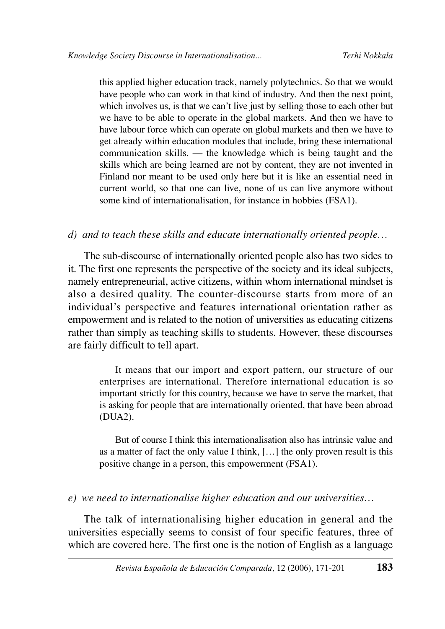this applied higher education track, namely polytechnics. So that we would have people who can work in that kind of industry. And then the next point, which involves us, is that we can't live just by selling those to each other but we have to be able to operate in the global markets. And then we have to have labour force which can operate on global markets and then we have to get already within education modules that include, bring these international communication skills. — the knowledge which is being taught and the skills which are being learned are not by content, they are not invented in Finland nor meant to be used only here but it is like an essential need in current world, so that one can live, none of us can live anymore without some kind of internationalisation, for instance in hobbies (FSA1).

#### *d) and to teach these skills and educate internationally oriented people…*

The sub-discourse of internationally oriented people also has two sides to it. The first one represents the perspective of the society and its ideal subjects, namely entrepreneurial, active citizens, within whom international mindset is also a desired quality. The counter-discourse starts from more of an individual's perspective and features international orientation rather as empowerment and is related to the notion of universities as educating citizens rather than simply as teaching skills to students. However, these discourses are fairly difficult to tell apart.

It means that our import and export pattern, our structure of our enterprises are international. Therefore international education is so important strictly for this country, because we have to serve the market, that is asking for people that are internationally oriented, that have been abroad (DUA2).

But of course I think this internationalisation also has intrinsic value and as a matter of fact the only value I think, […] the only proven result is this positive change in a person, this empowerment (FSA1).

#### *e) we need to internationalise higher education and our universities…*

The talk of internationalising higher education in general and the universities especially seems to consist of four specific features, three of which are covered here. The first one is the notion of English as a language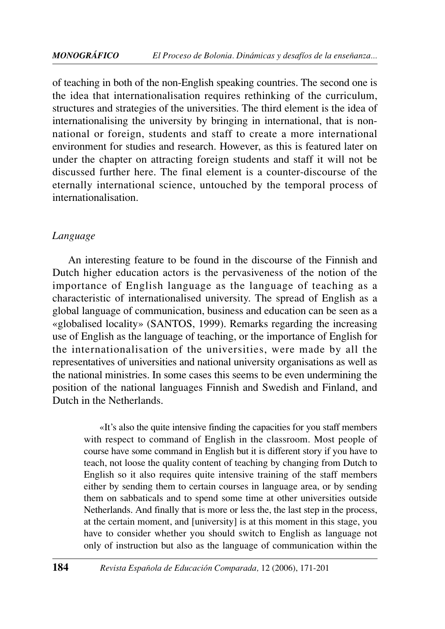of teaching in both of the non-English speaking countries. The second one is the idea that internationalisation requires rethinking of the curriculum, structures and strategies of the universities. The third element is the idea of internationalising the university by bringing in international, that is nonnational or foreign, students and staff to create a more international environment for studies and research. However, as this is featured later on under the chapter on attracting foreign students and staff it will not be discussed further here. The final element is a counter-discourse of the eternally international science, untouched by the temporal process of internationalisation.

#### *Language*

An interesting feature to be found in the discourse of the Finnish and Dutch higher education actors is the pervasiveness of the notion of the importance of English language as the language of teaching as a characteristic of internationalised university. The spread of English as a global language of communication, business and education can be seen as a «globalised locality» (SANTOS, 1999). Remarks regarding the increasing use of English as the language of teaching, or the importance of English for the internationalisation of the universities, were made by all the representatives of universities and national university organisations as well as the national ministries. In some cases this seems to be even undermining the position of the national languages Finnish and Swedish and Finland, and Dutch in the Netherlands.

«It's also the quite intensive finding the capacities for you staff members with respect to command of English in the classroom. Most people of course have some command in English but it is different story if you have to teach, not loose the quality content of teaching by changing from Dutch to English so it also requires quite intensive training of the staff members either by sending them to certain courses in language area, or by sending them on sabbaticals and to spend some time at other universities outside Netherlands. And finally that is more or less the, the last step in the process, at the certain moment, and [university] is at this moment in this stage, you have to consider whether you should switch to English as language not only of instruction but also as the language of communication within the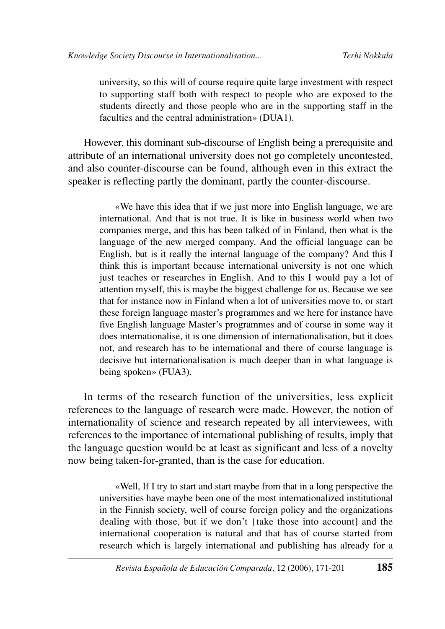university, so this will of course require quite large investment with respect to supporting staff both with respect to people who are exposed to the students directly and those people who are in the supporting staff in the faculties and the central administration» (DUA1).

However, this dominant sub-discourse of English being a prerequisite and attribute of an international university does not go completely uncontested, and also counter-discourse can be found, although even in this extract the speaker is reflecting partly the dominant, partly the counter-discourse.

«We have this idea that if we just more into English language, we are international. And that is not true. It is like in business world when two companies merge, and this has been talked of in Finland, then what is the language of the new merged company. And the official language can be English, but is it really the internal language of the company? And this I think this is important because international university is not one which just teaches or researches in English. And to this I would pay a lot of attention myself, this is maybe the biggest challenge for us. Because we see that for instance now in Finland when a lot of universities move to, or start these foreign language master's programmes and we here for instance have five English language Master's programmes and of course in some way it does internationalise, it is one dimension of internationalisation, but it does not, and research has to be international and there of course language is decisive but internationalisation is much deeper than in what language is being spoken» (FUA3).

In terms of the research function of the universities, less explicit references to the language of research were made. However, the notion of internationality of science and research repeated by all interviewees, with references to the importance of international publishing of results, imply that the language question would be at least as significant and less of a novelty now being taken-for-granted, than is the case for education.

«Well, If I try to start and start maybe from that in a long perspective the universities have maybe been one of the most internationalized institutional in the Finnish society, well of course foreign policy and the organizations dealing with those, but if we don't {take those into account] and the international cooperation is natural and that has of course started from research which is largely international and publishing has already for a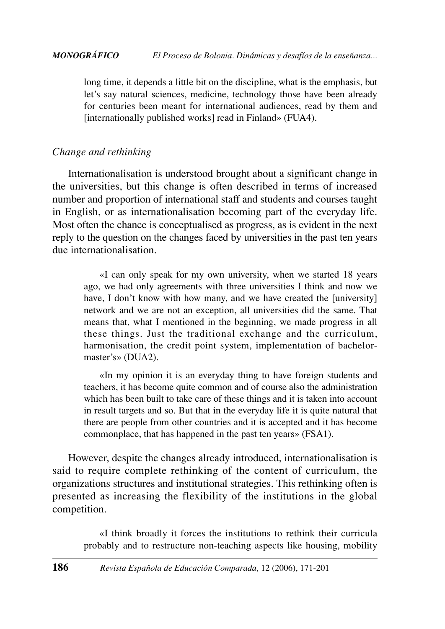long time, it depends a little bit on the discipline, what is the emphasis, but let's say natural sciences, medicine, technology those have been already for centuries been meant for international audiences, read by them and [internationally published works] read in Finland» (FUA4).

## *Change and rethinking*

Internationalisation is understood brought about a significant change in the universities, but this change is often described in terms of increased number and proportion of international staff and students and courses taught in English, or as internationalisation becoming part of the everyday life. Most often the chance is conceptualised as progress, as is evident in the next reply to the question on the changes faced by universities in the past ten years due internationalisation.

«I can only speak for my own university, when we started 18 years ago, we had only agreements with three universities I think and now we have, I don't know with how many, and we have created the [university] network and we are not an exception, all universities did the same. That means that, what I mentioned in the beginning, we made progress in all these things. Just the traditional exchange and the curriculum, harmonisation, the credit point system, implementation of bachelormaster's» (DUA2).

«In my opinion it is an everyday thing to have foreign students and teachers, it has become quite common and of course also the administration which has been built to take care of these things and it is taken into account in result targets and so. But that in the everyday life it is quite natural that there are people from other countries and it is accepted and it has become commonplace, that has happened in the past ten years» (FSA1).

However, despite the changes already introduced, internationalisation is said to require complete rethinking of the content of curriculum, the organizations structures and institutional strategies. This rethinking often is presented as increasing the flexibility of the institutions in the global competition.

«I think broadly it forces the institutions to rethink their curricula probably and to restructure non-teaching aspects like housing, mobility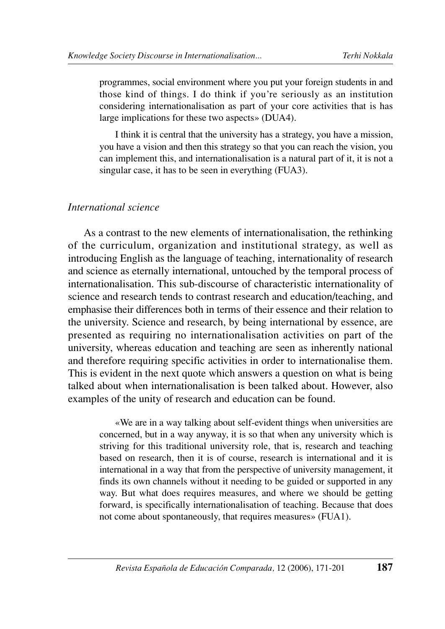programmes, social environment where you put your foreign students in and those kind of things. I do think if you're seriously as an institution considering internationalisation as part of your core activities that is has large implications for these two aspects» (DUA4).

I think it is central that the university has a strategy, you have a mission, you have a vision and then this strategy so that you can reach the vision, you can implement this, and internationalisation is a natural part of it, it is not a singular case, it has to be seen in everything (FUA3).

#### *International science*

As a contrast to the new elements of internationalisation, the rethinking of the curriculum, organization and institutional strategy, as well as introducing English as the language of teaching, internationality of research and science as eternally international, untouched by the temporal process of internationalisation. This sub-discourse of characteristic internationality of science and research tends to contrast research and education/teaching, and emphasise their differences both in terms of their essence and their relation to the university. Science and research, by being international by essence, are presented as requiring no internationalisation activities on part of the university, whereas education and teaching are seen as inherently national and therefore requiring specific activities in order to internationalise them. This is evident in the next quote which answers a question on what is being talked about when internationalisation is been talked about. However, also examples of the unity of research and education can be found.

«We are in a way talking about self-evident things when universities are concerned, but in a way anyway, it is so that when any university which is striving for this traditional university role, that is, research and teaching based on research, then it is of course, research is international and it is international in a way that from the perspective of university management, it finds its own channels without it needing to be guided or supported in any way. But what does requires measures, and where we should be getting forward, is specifically internationalisation of teaching. Because that does not come about spontaneously, that requires measures» (FUA1).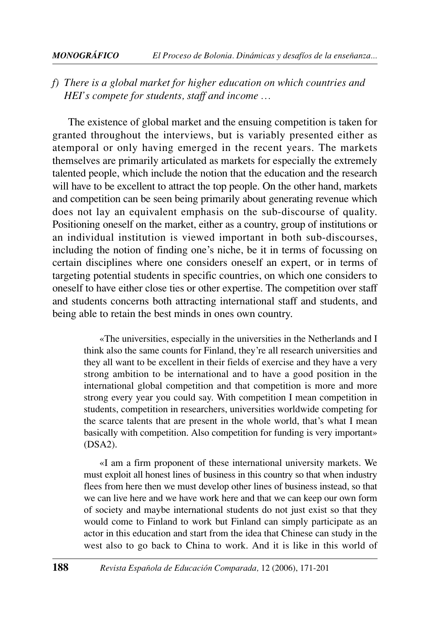#### *MONOGRÁFICO El Proceso de Bolonia. Dinámicas y desafíos de la enseñanza...*

## *f) There is a global market for higher education on which countries and HEI's compete for students, staff and income …*

The existence of global market and the ensuing competition is taken for granted throughout the interviews, but is variably presented either as atemporal or only having emerged in the recent years. The markets themselves are primarily articulated as markets for especially the extremely talented people, which include the notion that the education and the research will have to be excellent to attract the top people. On the other hand, markets and competition can be seen being primarily about generating revenue which does not lay an equivalent emphasis on the sub-discourse of quality. Positioning oneself on the market, either as a country, group of institutions or an individual institution is viewed important in both sub-discourses, including the notion of finding one's niche, be it in terms of focussing on certain disciplines where one considers oneself an expert, or in terms of targeting potential students in specific countries, on which one considers to oneself to have either close ties or other expertise. The competition over staff and students concerns both attracting international staff and students, and being able to retain the best minds in ones own country.

«The universities, especially in the universities in the Netherlands and I think also the same counts for Finland, they're all research universities and they all want to be excellent in their fields of exercise and they have a very strong ambition to be international and to have a good position in the international global competition and that competition is more and more strong every year you could say. With competition I mean competition in students, competition in researchers, universities worldwide competing for the scarce talents that are present in the whole world, that's what I mean basically with competition. Also competition for funding is very important» (DSA2).

«I am a firm proponent of these international university markets. We must exploit all honest lines of business in this country so that when industry flees from here then we must develop other lines of business instead, so that we can live here and we have work here and that we can keep our own form of society and maybe international students do not just exist so that they would come to Finland to work but Finland can simply participate as an actor in this education and start from the idea that Chinese can study in the west also to go back to China to work. And it is like in this world of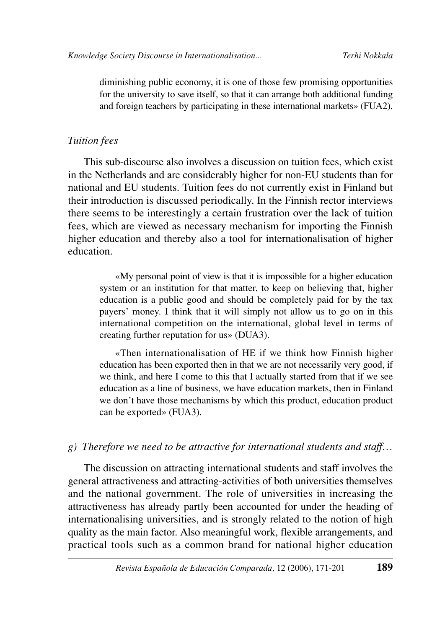diminishing public economy, it is one of those few promising opportunities for the university to save itself, so that it can arrange both additional funding and foreign teachers by participating in these international markets» (FUA2).

### *Tuition fees*

This sub-discourse also involves a discussion on tuition fees, which exist in the Netherlands and are considerably higher for non-EU students than for national and EU students. Tuition fees do not currently exist in Finland but their introduction is discussed periodically. In the Finnish rector interviews there seems to be interestingly a certain frustration over the lack of tuition fees, which are viewed as necessary mechanism for importing the Finnish higher education and thereby also a tool for internationalisation of higher education.

«My personal point of view is that it is impossible for a higher education system or an institution for that matter, to keep on believing that, higher education is a public good and should be completely paid for by the tax payers' money. I think that it will simply not allow us to go on in this international competition on the international, global level in terms of creating further reputation for us» (DUA3).

«Then internationalisation of HE if we think how Finnish higher education has been exported then in that we are not necessarily very good, if we think, and here I come to this that I actually started from that if we see education as a line of business, we have education markets, then in Finland we don't have those mechanisms by which this product, education product can be exported» (FUA3).

#### *g) Therefore we need to be attractive for international students and staff…*

The discussion on attracting international students and staff involves the general attractiveness and attracting-activities of both universities themselves and the national government. The role of universities in increasing the attractiveness has already partly been accounted for under the heading of internationalising universities, and is strongly related to the notion of high quality as the main factor. Also meaningful work, flexible arrangements, and practical tools such as a common brand for national higher education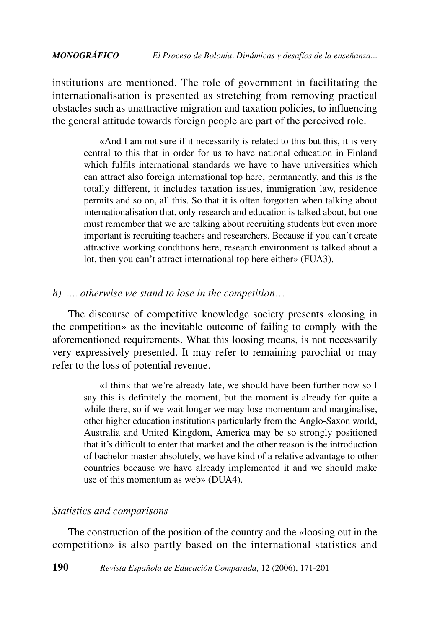institutions are mentioned. The role of government in facilitating the internationalisation is presented as stretching from removing practical obstacles such as unattractive migration and taxation policies, to influencing the general attitude towards foreign people are part of the perceived role.

«And I am not sure if it necessarily is related to this but this, it is very central to this that in order for us to have national education in Finland which fulfils international standards we have to have universities which can attract also foreign international top here, permanently, and this is the totally different, it includes taxation issues, immigration law, residence permits and so on, all this. So that it is often forgotten when talking about internationalisation that, only research and education is talked about, but one must remember that we are talking about recruiting students but even more important is recruiting teachers and researchers. Because if you can't create attractive working conditions here, research environment is talked about a lot, then you can't attract international top here either» (FUA3).

#### *h) .... otherwise we stand to lose in the competition…*

The discourse of competitive knowledge society presents «loosing in the competition» as the inevitable outcome of failing to comply with the aforementioned requirements. What this loosing means, is not necessarily very expressively presented. It may refer to remaining parochial or may refer to the loss of potential revenue.

«I think that we're already late, we should have been further now so I say this is definitely the moment, but the moment is already for quite a while there, so if we wait longer we may lose momentum and marginalise, other higher education institutions particularly from the Anglo-Saxon world, Australia and United Kingdom, America may be so strongly positioned that it's difficult to enter that market and the other reason is the introduction of bachelor-master absolutely, we have kind of a relative advantage to other countries because we have already implemented it and we should make use of this momentum as web» (DUA4).

#### *Statistics and comparisons*

The construction of the position of the country and the «loosing out in the competition» is also partly based on the international statistics and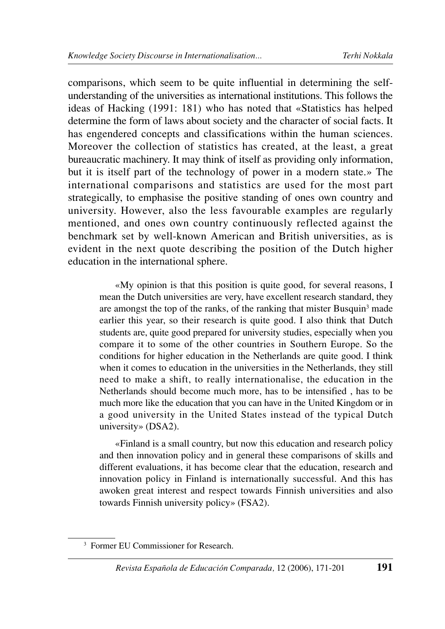comparisons, which seem to be quite influential in determining the selfunderstanding of the universities as international institutions. This follows the ideas of Hacking (1991: 181) who has noted that «Statistics has helped determine the form of laws about society and the character of social facts. It has engendered concepts and classifications within the human sciences. Moreover the collection of statistics has created, at the least, a great bureaucratic machinery. It may think of itself as providing only information, but it is itself part of the technology of power in a modern state.» The international comparisons and statistics are used for the most part strategically, to emphasise the positive standing of ones own country and university. However, also the less favourable examples are regularly mentioned, and ones own country continuously reflected against the benchmark set by well-known American and British universities, as is evident in the next quote describing the position of the Dutch higher education in the international sphere.

«My opinion is that this position is quite good, for several reasons, I mean the Dutch universities are very, have excellent research standard, they are amongst the top of the ranks, of the ranking that mister Busquin<sup>3</sup> made earlier this year, so their research is quite good. I also think that Dutch students are, quite good prepared for university studies, especially when you compare it to some of the other countries in Southern Europe. So the conditions for higher education in the Netherlands are quite good. I think when it comes to education in the universities in the Netherlands, they still need to make a shift, to really internationalise, the education in the Netherlands should become much more, has to be intensified , has to be much more like the education that you can have in the United Kingdom or in a good university in the United States instead of the typical Dutch university» (DSA2).

«Finland is a small country, but now this education and research policy and then innovation policy and in general these comparisons of skills and different evaluations, it has become clear that the education, research and innovation policy in Finland is internationally successful. And this has awoken great interest and respect towards Finnish universities and also towards Finnish university policy» (FSA2).

<sup>3</sup> Former EU Commissioner for Research.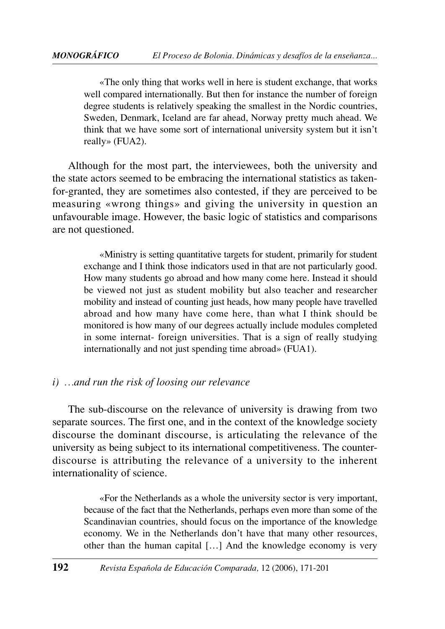«The only thing that works well in here is student exchange, that works well compared internationally. But then for instance the number of foreign degree students is relatively speaking the smallest in the Nordic countries, Sweden, Denmark, Iceland are far ahead, Norway pretty much ahead. We think that we have some sort of international university system but it isn't really» (FUA2).

Although for the most part, the interviewees, both the university and the state actors seemed to be embracing the international statistics as takenfor-granted, they are sometimes also contested, if they are perceived to be measuring «wrong things» and giving the university in question an unfavourable image. However, the basic logic of statistics and comparisons are not questioned.

«Ministry is setting quantitative targets for student, primarily for student exchange and I think those indicators used in that are not particularly good. How many students go abroad and how many come here. Instead it should be viewed not just as student mobility but also teacher and researcher mobility and instead of counting just heads, how many people have travelled abroad and how many have come here, than what I think should be monitored is how many of our degrees actually include modules completed in some internat- foreign universities. That is a sign of really studying internationally and not just spending time abroad» (FUA1).

#### *i) …and run the risk of loosing our relevance*

The sub-discourse on the relevance of university is drawing from two separate sources. The first one, and in the context of the knowledge society discourse the dominant discourse, is articulating the relevance of the university as being subject to its international competitiveness. The counterdiscourse is attributing the relevance of a university to the inherent internationality of science.

«For the Netherlands as a whole the university sector is very important, because of the fact that the Netherlands, perhaps even more than some of the Scandinavian countries, should focus on the importance of the knowledge economy. We in the Netherlands don't have that many other resources, other than the human capital […] And the knowledge economy is very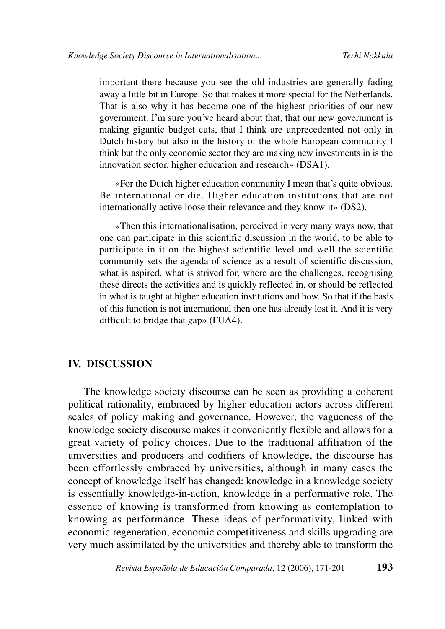important there because you see the old industries are generally fading away a little bit in Europe. So that makes it more special for the Netherlands. That is also why it has become one of the highest priorities of our new government. I'm sure you've heard about that, that our new government is making gigantic budget cuts, that I think are unprecedented not only in Dutch history but also in the history of the whole European community I think but the only economic sector they are making new investments in is the innovation sector, higher education and research» (DSA1).

«For the Dutch higher education community I mean that's quite obvious. Be international or die. Higher education institutions that are not internationally active loose their relevance and they know it» (DS2).

«Then this internationalisation, perceived in very many ways now, that one can participate in this scientific discussion in the world, to be able to participate in it on the highest scientific level and well the scientific community sets the agenda of science as a result of scientific discussion, what is aspired, what is strived for, where are the challenges, recognising these directs the activities and is quickly reflected in, or should be reflected in what is taught at higher education institutions and how. So that if the basis of this function is not international then one has already lost it. And it is very difficult to bridge that gap» (FUA4).

#### **IV. DISCUSSION**

The knowledge society discourse can be seen as providing a coherent political rationality, embraced by higher education actors across different scales of policy making and governance. However, the vagueness of the knowledge society discourse makes it conveniently flexible and allows for a great variety of policy choices. Due to the traditional affiliation of the universities and producers and codifiers of knowledge, the discourse has been effortlessly embraced by universities, although in many cases the concept of knowledge itself has changed: knowledge in a knowledge society is essentially knowledge-in-action, knowledge in a performative role. The essence of knowing is transformed from knowing as contemplation to knowing as performance. These ideas of performativity, linked with economic regeneration, economic competitiveness and skills upgrading are very much assimilated by the universities and thereby able to transform the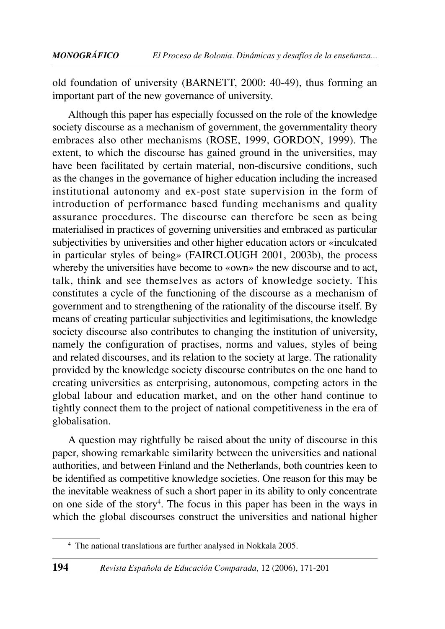old foundation of university (BARNETT, 2000: 40-49), thus forming an important part of the new governance of university.

Although this paper has especially focussed on the role of the knowledge society discourse as a mechanism of government, the governmentality theory embraces also other mechanisms (ROSE, 1999, GORDON, 1999). The extent, to which the discourse has gained ground in the universities, may have been facilitated by certain material, non-discursive conditions, such as the changes in the governance of higher education including the increased institutional autonomy and ex-post state supervision in the form of introduction of performance based funding mechanisms and quality assurance procedures. The discourse can therefore be seen as being materialised in practices of governing universities and embraced as particular subjectivities by universities and other higher education actors or «inculcated in particular styles of being» (FAIRCLOUGH 2001, 2003b), the process whereby the universities have become to «own» the new discourse and to act, talk, think and see themselves as actors of knowledge society. This constitutes a cycle of the functioning of the discourse as a mechanism of government and to strengthening of the rationality of the discourse itself. By means of creating particular subjectivities and legitimisations, the knowledge society discourse also contributes to changing the institution of university, namely the configuration of practises, norms and values, styles of being and related discourses, and its relation to the society at large. The rationality provided by the knowledge society discourse contributes on the one hand to creating universities as enterprising, autonomous, competing actors in the global labour and education market, and on the other hand continue to tightly connect them to the project of national competitiveness in the era of globalisation.

A question may rightfully be raised about the unity of discourse in this paper, showing remarkable similarity between the universities and national authorities, and between Finland and the Netherlands, both countries keen to be identified as competitive knowledge societies. One reason for this may be the inevitable weakness of such a short paper in its ability to only concentrate on one side of the story<sup>4</sup>. The focus in this paper has been in the ways in which the global discourses construct the universities and national higher

<sup>4</sup> The national translations are further analysed in Nokkala 2005.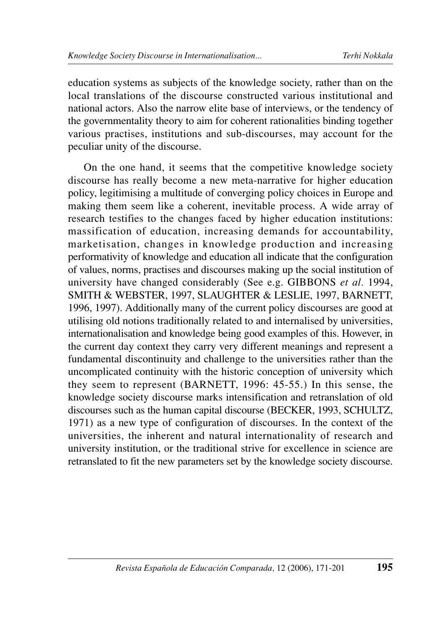education systems as subjects of the knowledge society, rather than on the local translations of the discourse constructed various institutional and national actors. Also the narrow elite base of interviews, or the tendency of the governmentality theory to aim for coherent rationalities binding together various practises, institutions and sub-discourses, may account for the peculiar unity of the discourse.

On the one hand, it seems that the competitive knowledge society discourse has really become a new meta-narrative for higher education policy, legitimising a multitude of converging policy choices in Europe and making them seem like a coherent, inevitable process. A wide array of research testifies to the changes faced by higher education institutions: massification of education, increasing demands for accountability, marketisation, changes in knowledge production and increasing performativity of knowledge and education all indicate that the configuration of values, norms, practises and discourses making up the social institution of university have changed considerably (See e.g. GIBBONS *et al.* 1994, SMITH & WEBSTER, 1997, SLAUGHTER & LESLIE, 1997, BARNETT, 1996, 1997). Additionally many of the current policy discourses are good at utilising old notions traditionally related to and internalised by universities, internationalisation and knowledge being good examples of this. However, in the current day context they carry very different meanings and represent a fundamental discontinuity and challenge to the universities rather than the uncomplicated continuity with the historic conception of university which they seem to represent (BARNETT, 1996: 45-55.) In this sense, the knowledge society discourse marks intensification and retranslation of old discourses such as the human capital discourse (BECKER, 1993, SCHULTZ, 1971) as a new type of configuration of discourses. In the context of the universities, the inherent and natural internationality of research and university institution, or the traditional strive for excellence in science are retranslated to fit the new parameters set by the knowledge society discourse.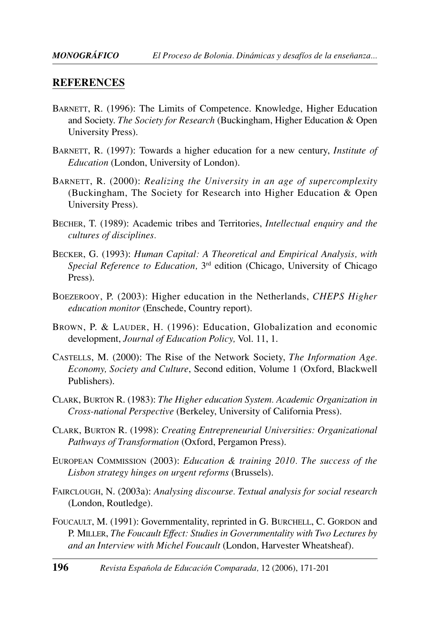#### **REFERENCES**

- BARNETT, R. (1996): The Limits of Competence. Knowledge, Higher Education and Society. *The Society for Research* (Buckingham, Higher Education & Open University Press).
- BARNETT, R. (1997): Towards a higher education for a new century, *Institute of Education* (London, University of London).
- BARNETT, R. (2000): *Realizing the University in an age of supercomplexity* (Buckingham, The Society for Research into Higher Education & Open University Press).
- BECHER, T. (1989): Academic tribes and Territories, *Intellectual enquiry and the cultures of disciplines.*
- BECKER, G. (1993): *Human Capital: A Theoretical and Empirical Analysis, with Special Reference to Education,* 3rd edition (Chicago, University of Chicago Press).
- BOEZEROOY, P. (2003): Higher education in the Netherlands, *CHEPS Higher education monitor* (Enschede, Country report).
- BROWN, P. & LAUDER, H. (1996): Education, Globalization and economic development, *Journal of Education Policy,* Vol. 11, 1.
- CASTELLS, M. (2000): The Rise of the Network Society, *The Information Age. Economy, Society and Culture*, Second edition, Volume 1 (Oxford, Blackwell Publishers).
- CLARK, BURTON R. (1983): *The Higher education System. Academic Organization in Cross-national Perspective* (Berkeley, University of California Press).
- CLARK, BURTON R. (1998): *Creating Entrepreneurial Universities: Organizational Pathways of Transformation* (Oxford, Pergamon Press).
- EUROPEAN COMMISSION (2003): *Education & training 2010. The success of the Lisbon strategy hinges on urgent reforms* (Brussels).
- FAIRCLOUGH, N. (2003a): *Analysing discourse. Textual analysis for social research* (London, Routledge).
- FOUCAULT, M. (1991): Governmentality, reprinted in G. BURCHELL, C. GORDON and P. MILLER, *The Foucault Effect: Studies in Governmentality with Two Lectures by and an Interview with Michel Foucault* (London, Harvester Wheatsheaf).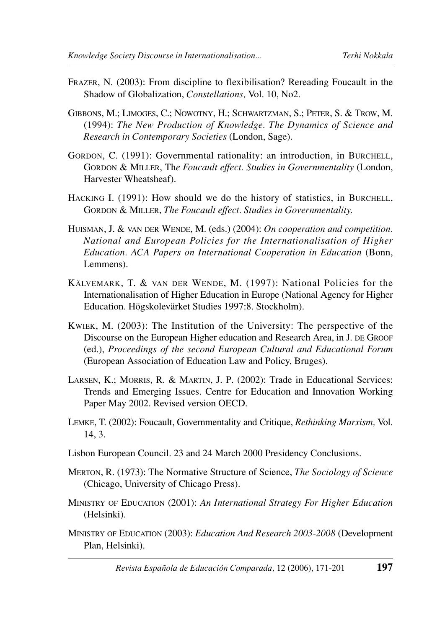- FRAZER, N. (2003): From discipline to flexibilisation? Rereading Foucault in the Shadow of Globalization, *Constellations,* Vol. 10, No2.
- GIBBONS, M.; LIMOGES, C.; NOWOTNY, H.; SCHWARTZMAN, S.; PETER, S. & TROW, M. (1994): *The New Production of Knowledge. The Dynamics of Science and Research in Contemporary Societies* (London, Sage).
- GORDON, C. (1991): Governmental rationality: an introduction, in BURCHELL, GORDON & MILLER, Th*e Foucault effect. Studies in Governmentality* (London, Harvester Wheatsheaf).
- HACKING I. (1991): How should we do the history of statistics, in BURCHELL, GORDON & MILLER, *The Foucault effect. Studies in Governmentality.*
- HUISMAN, J. & VAN DER WENDE, M. (eds.) (2004): *On cooperation and competition. National and European Policies for the Internationalisation of Higher Education. ACA Papers on International Cooperation in Education* (Bonn, Lemmens).
- KÄLVEMARK, T. & VAN DER WENDE, M. (1997): National Policies for the Internationalisation of Higher Education in Europe (National Agency for Higher Education. Högskolevärket Studies 1997:8. Stockholm).
- KWIEK, M. (2003): The Institution of the University: The perspective of the Discourse on the European Higher education and Research Area, in J. DE GROOF (ed.), *Proceedings of the second European Cultural and Educational Forum* (European Association of Education Law and Policy, Bruges).
- LARSEN, K.; MORRIS, R. & MARTIN, J. P. (2002): Trade in Educational Services: Trends and Emerging Issues. Centre for Education and Innovation Working Paper May 2002. Revised version OECD.
- LEMKE, T. (2002): Foucault, Governmentality and Critique, *Rethinking Marxism,* Vol. 14, 3.
- Lisbon European Council. 23 and 24 March 2000 Presidency Conclusions.
- MERTON, R. (1973): The Normative Structure of Science, *The Sociology of Science* (Chicago, University of Chicago Press).
- MINISTRY OF EDUCATION (2001): *An International Strategy For Higher Education* (Helsinki).
- MINISTRY OF EDUCATION (2003): *Education And Research 2003-2008* (Development Plan, Helsinki).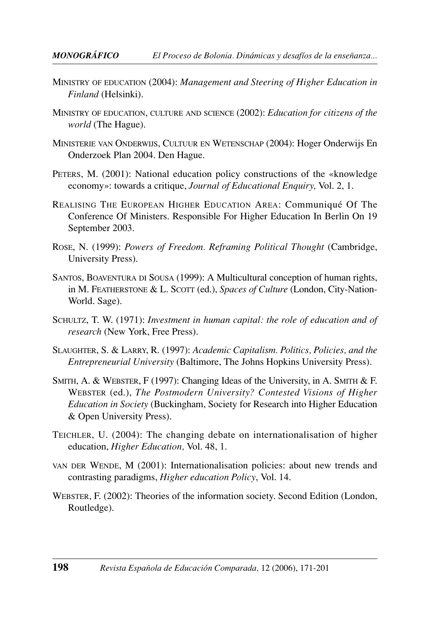- MINISTRY OF EDUCATION (2004): *Management and Steering of Higher Education in Finland* (Helsinki).
- MINISTRY OF EDUCATION, CULTURE AND SCIENCE (2002): *Education for citizens of the world* (The Hague).
- MINISTERIE VAN ONDERWIJS, CULTUUR EN WETENSCHAP (2004): Hoger Onderwijs En Onderzoek Plan 2004. Den Hague.
- PETERS, M. (2001): National education policy constructions of the «knowledge economy»: towards a critique, *Journal of Educational Enquiry,* Vol. 2, 1.
- REALISING THE EUROPEAN HIGHER EDUCATION AREA: Communiqué Of The Conference Of Ministers. Responsible For Higher Education In Berlin On 19 September 2003.
- ROSE, N. (1999): *Powers of Freedom. Reframing Political Thought* (Cambridge, University Press).
- SANTOS, BOAVENTURA DI SOUSA (1999): A Multicultural conception of human rights, in M. FEATHERSTONE & L. SCOTT (ed.), *Spaces of Culture* (London, City-Nation-World. Sage).
- SCHULTZ, T. W. (1971): *Investment in human capital: the role of education and of research* (New York, Free Press).
- SLAUGHTER, S. & LARRY, R. (1997): *Academic Capitalism. Politics, Policies, and the Entrepreneurial University* (Baltimore, The Johns Hopkins University Press).
- SMITH, A. & WEBSTER, F (1997): Changing Ideas of the University, in A. SMITH & F. WEBSTER (ed.), *The Postmodern University? Contested Visions of Higher Education in Society* (Buckingham, Society for Research into Higher Education & Open University Press).
- TEICHLER, U. (2004): The changing debate on internationalisation of higher education, *Higher Education,* Vol. 48, 1.
- VAN DER WENDE, M (2001): Internationalisation policies: about new trends and contrasting paradigms, *Higher education Policy*, Vol. 14.
- WEBSTER, F. (2002): Theories of the information society. Second Edition (London, Routledge).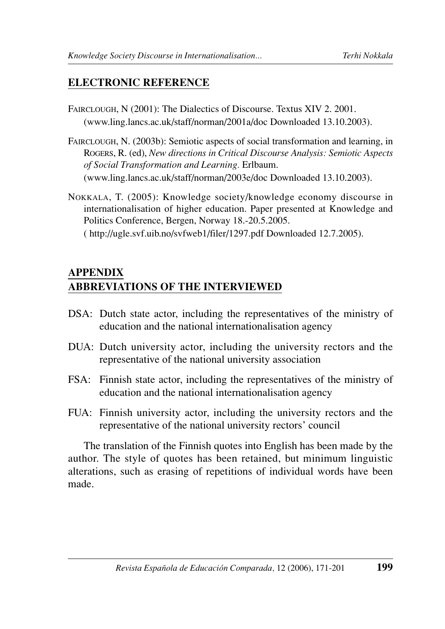## **ELECTRONIC REFERENCE**

- FAIRCLOUGH, N (2001): The Dialectics of Discourse. Textus XIV 2. 2001. (www.ling.lancs.ac.uk/staff/norman/2001a/doc Downloaded 13.10.2003).
- FAIRCLOUGH, N. (2003b): Semiotic aspects of social transformation and learning, in ROGERS, R. (ed), *New directions in Critical Discourse Analysis: Semiotic Aspects of Social Transformation and Learning.* Erlbaum. (www.ling.lancs.ac.uk/staff/norman/2003e/doc Downloaded 13.10.2003).
- NOKKALA, T. (2005): Knowledge society/knowledge economy discourse in internationalisation of higher education. Paper presented at Knowledge and Politics Conference, Bergen, Norway 18.-20.5.2005. ( http://ugle.svf.uib.no/svfweb1/filer/1297.pdf Downloaded 12.7.2005).

## **APPENDIX ABBREVIATIONS OF THE INTERVIEWED**

- DSA: Dutch state actor, including the representatives of the ministry of education and the national internationalisation agency
- DUA: Dutch university actor, including the university rectors and the representative of the national university association
- FSA: Finnish state actor, including the representatives of the ministry of education and the national internationalisation agency
- FUA: Finnish university actor, including the university rectors and the representative of the national university rectors' council

The translation of the Finnish quotes into English has been made by the author. The style of quotes has been retained, but minimum linguistic alterations, such as erasing of repetitions of individual words have been made.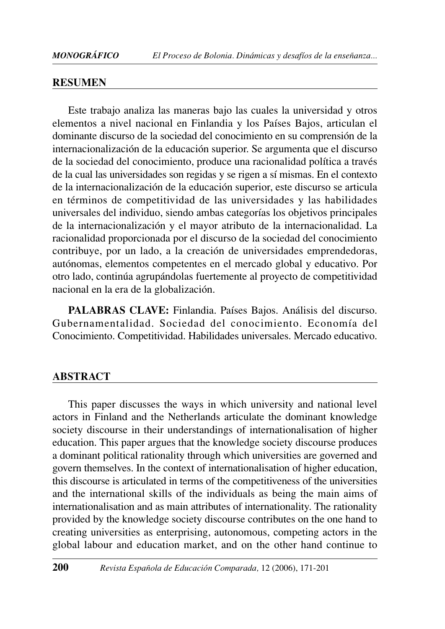#### **RESUMEN**

Este trabajo analiza las maneras bajo las cuales la universidad y otros elementos a nivel nacional en Finlandia y los Países Bajos, articulan el dominante discurso de la sociedad del conocimiento en su comprensión de la internacionalización de la educación superior. Se argumenta que el discurso de la sociedad del conocimiento, produce una racionalidad política a través de la cual las universidades son regidas y se rigen a sí mismas. En el contexto de la internacionalización de la educación superior, este discurso se articula en términos de competitividad de las universidades y las habilidades universales del individuo, siendo ambas categorías los objetivos principales de la internacionalización y el mayor atributo de la internacionalidad. La racionalidad proporcionada por el discurso de la sociedad del conocimiento contribuye, por un lado, a la creación de universidades emprendedoras, autónomas, elementos competentes en el mercado global y educativo. Por otro lado, continúa agrupándolas fuertemente al proyecto de competitividad nacional en la era de la globalización.

**PALABRAS CLAVE:** Finlandia. Países Bajos. Análisis del discurso. Gubernamentalidad. Sociedad del conocimiento. Economía del Conocimiento. Competitividad. Habilidades universales. Mercado educativo.

#### **ABSTRACT**

This paper discusses the ways in which university and national level actors in Finland and the Netherlands articulate the dominant knowledge society discourse in their understandings of internationalisation of higher education. This paper argues that the knowledge society discourse produces a dominant political rationality through which universities are governed and govern themselves. In the context of internationalisation of higher education, this discourse is articulated in terms of the competitiveness of the universities and the international skills of the individuals as being the main aims of internationalisation and as main attributes of internationality. The rationality provided by the knowledge society discourse contributes on the one hand to creating universities as enterprising, autonomous, competing actors in the global labour and education market, and on the other hand continue to